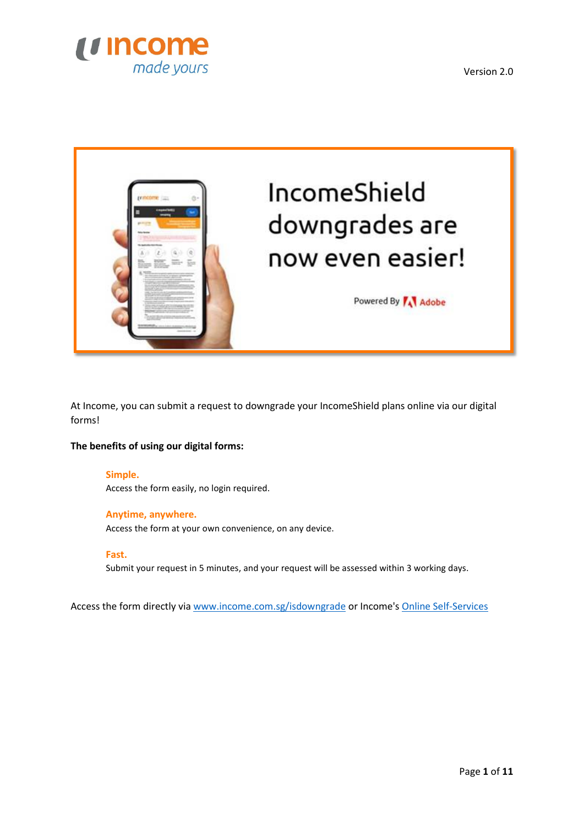



At Income, you can submit a request to downgrade your IncomeShield plans online via our digital forms!

## **The benefits of using our digital forms:**

## **Simple.**

Access the form easily, no login required.

## **Anytime, anywhere.**

Access the form at your own convenience, on any device.

## **Fast.**

Submit your request in 5 minutes, and your request will be assessed within 3 working days.

Access the form directly via [www.income.com.sg/isdowngrade](http://www.income.com.sg/isdowngrade) or Income'[s Online Self-Services](https://www.income.com.sg/Online-Self-services)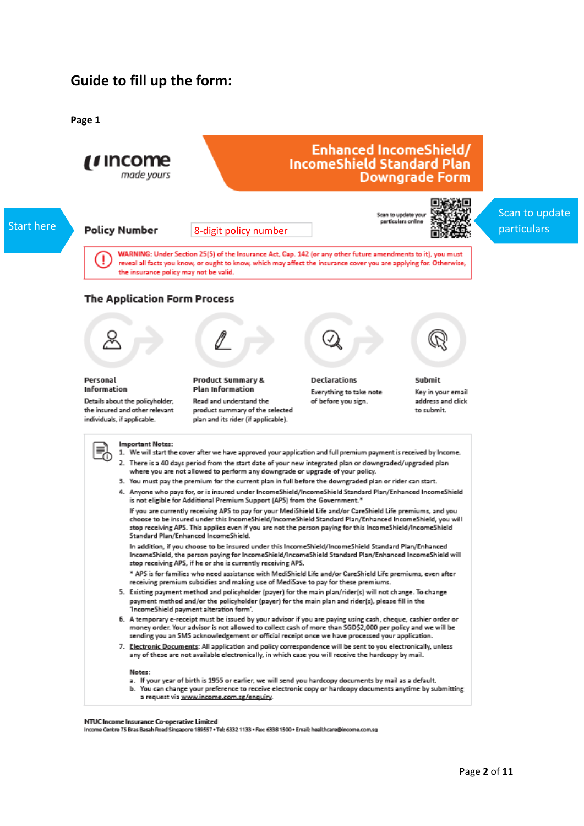# **Guide to fill up the form:**

**Page 1**



#### NTUC Income Insurance Co-operative Limited

Income Centre 75 Bras Basah Road Singapore 189557 + Tel: 6332 1133 + Fax: 6338 1500 + Email: healthcare@income.com.sg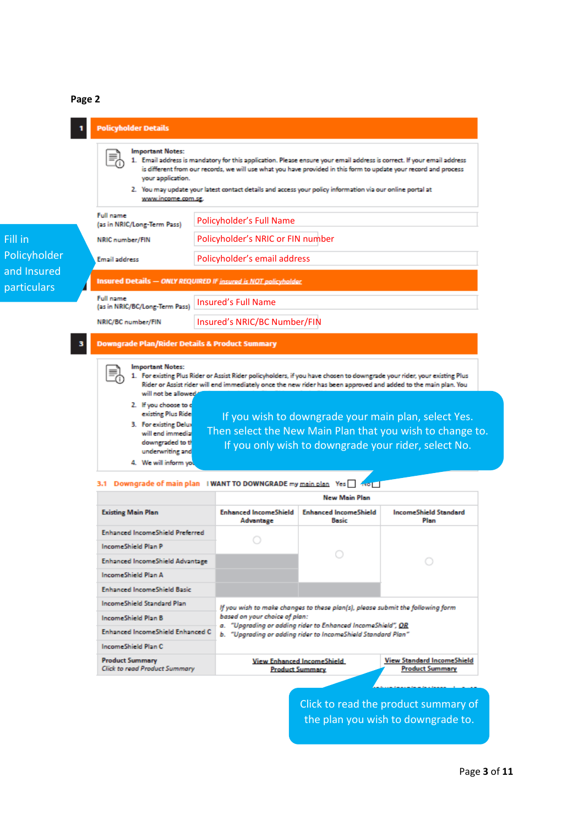## **Page 2**



#### 3.1 Downgrade of main plan I WANT TO DOWNGRADE my main plan Yes

|                                                                | <b>New Main Plan</b>                                                                                                                                         |                                                             |                                                             |  |  |
|----------------------------------------------------------------|--------------------------------------------------------------------------------------------------------------------------------------------------------------|-------------------------------------------------------------|-------------------------------------------------------------|--|--|
| <b>Existing Main Plan</b>                                      | <b>Enhanced IncomeShield</b><br>Advantage                                                                                                                    | <b>Enhanced IncomeShield</b><br>Basic                       | <b>IncomeShield Standard</b><br>Plan                        |  |  |
| <b>Enhanced IncomeShield Preferred</b>                         |                                                                                                                                                              |                                                             |                                                             |  |  |
| IncomeShield Plan P                                            |                                                                                                                                                              |                                                             |                                                             |  |  |
| <b>Enhanced IncomeShield Advantage</b>                         |                                                                                                                                                              |                                                             |                                                             |  |  |
| IncomeShield Plan A                                            |                                                                                                                                                              |                                                             |                                                             |  |  |
| <b>Enhanced IncomeShield Basic</b>                             |                                                                                                                                                              |                                                             |                                                             |  |  |
| <b>IncomeShield Standard Plan</b>                              | If you wish to make changes to these plan(s), please submit the following form                                                                               |                                                             |                                                             |  |  |
| IncomeShield Plan B                                            | based on your choice of plan:<br>a. "Upgrading or adding rider to Enhanced IncomeShield", OR<br>b. "Upgrading or adding rider to IncomeShield Standard Plan" |                                                             |                                                             |  |  |
| Enhanced IncomeShield Enhanced C                               |                                                                                                                                                              |                                                             |                                                             |  |  |
| IncomeShield Plan C                                            |                                                                                                                                                              |                                                             |                                                             |  |  |
| <b>Product Summary</b><br><b>Click to read Product Summary</b> |                                                                                                                                                              | <b>View Enhanced IncomeShield</b><br><b>Product Summary</b> | <b>View Standard IncomeShield</b><br><b>Product Summary</b> |  |  |

Click to read the product summary of the plan you wish to downgrade to.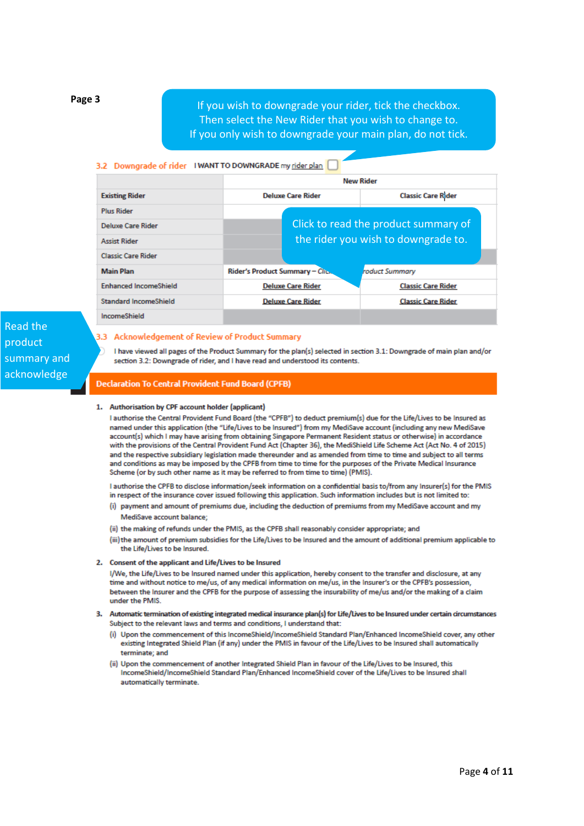**Page 3**

If you wish to downgrade your rider, tick the checkbox. Then select the New Rider that you wish to change to. If you only wish to downgrade your main plan, do not tick.

## 3.2 Downgrade of rider IWANT TO DOWNGRADE my rider plan

|                              | <b>New Rider</b>                |                                      |  |
|------------------------------|---------------------------------|--------------------------------------|--|
| <b>Existing Rider</b>        | <b>Deluxe Care Rider</b>        | <b>Classic Care Rider</b>            |  |
| <b>Plus Rider</b>            |                                 |                                      |  |
| <b>Deluxe Care Rider</b>     |                                 | Click to read the product summary of |  |
| <b>Assist Rider</b>          |                                 | the rider you wish to downgrade to.  |  |
| <b>Classic Care Rider</b>    |                                 |                                      |  |
| <b>Main Plan</b>             | Rider's Product Summary - Click | roduct Summary                       |  |
| <b>Enhanced IncomeShield</b> | <b>Deluxe Care Rider</b>        | <b>Classic Care Rider</b>            |  |
| <b>Standard IncomeShield</b> | <b>Deluxe Care Rider</b>        | <b>Classic Care Rider</b>            |  |
| <b>IncomeShield</b>          |                                 |                                      |  |

# Read the product summary and acknowledge

## 3.3 Acknowledgement of Review of Product Summary

I have viewed all pages of the Product Summary for the plan(s) selected in section 3.1: Downgrade of main plan and/or section 3.2: Downgrade of rider, and I have read and understood its contents.

## **Declaration To Central Provident Fund Board (CPFB)**

#### 1. Authorisation by CPF account holder (applicant)

I authorise the Central Provident Fund Board (the "CPFB") to deduct premium(s) due for the Life/Lives to be Insured as named under this application (the "Life/Lives to be Insured") from my MediSave account (including any new MediSave account(s) which I may have arising from obtaining Singapore Permanent Resident status or otherwise) in accordance with the provisions of the Central Provident Fund Act (Chapter 36), the MediShield Life Scheme Act (Act No. 4 of 2015) and the respective subsidiary legislation made thereunder and as amended from time to time and subject to all terms and conditions as may be imposed by the CPFB from time to time for the purposes of the Private Medical Insurance Scheme (or by such other name as it may be referred to from time to time) (PMIS).

I authorise the CPFB to disclose information/seek information on a confidential basis to/from any Insurer(s) for the PMIS in respect of the insurance cover issued following this application. Such information includes but is not limited to:

- (i) payment and amount of premiums due, including the deduction of premiums from my MediSave account and my MediSave account balance:
- (ii) the making of refunds under the PMIS, as the CPFB shall reasonably consider appropriate; and
- (iii) the amount of premium subsidies for the Life/Lives to be Insured and the amount of additional premium applicable to the Life/Lives to be Insured.

#### 2. Consent of the applicant and Life/Lives to be Insured

I/We, the Life/Lives to be Insured named under this application, hereby consent to the transfer and disclosure, at any time and without notice to me/us, of any medical information on me/us, in the Insurer's or the CPFB's possession, between the Insurer and the CPFB for the purpose of assessing the insurability of me/us and/or the making of a claim under the PMIS.

#### 3. Automatic termination of existing integrated medical insurance plan(s) for Life/Lives to be Insured under certain circumstances Subject to the relevant laws and terms and conditions, I understand that:

- (i) Upon the commencement of this IncomeShield/IncomeShield Standard Plan/Enhanced IncomeShield cover, any other existing Integrated Shield Plan (if any) under the PMIS in favour of the Life/Lives to be Insured shall automatically terminate: and
- (ii) Upon the commencement of another Integrated Shield Plan in favour of the Life/Lives to be Insured, this IncomeShield/IncomeShield Standard Plan/Enhanced IncomeShield cover of the Life/Lives to be Insured shall automatically terminate.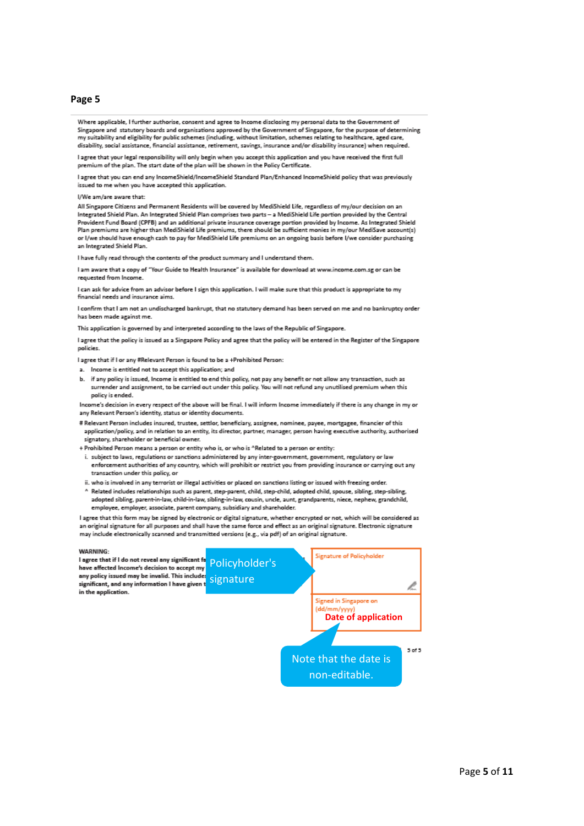#### **Page 5**

Where applicable. I further authorise, consent and agree to Income disclosing my personal data to the Government of Singapore and statutory boards and organisations approved by the Government of Singapore, for the purpose of determining my suitability and eligibility for public schemes (including, without limitation, schemes relating to healthcare, aged care, disability, social assistance, financial assistance, retirement, savings, insurance and/or disability insurance) when required.

I agree that your legal responsibility will only begin when you accept this application and you have received the first full premium of the plan. The start date of the plan will be shown in the Policy Certificate

I agree that you can end any IncomeShield/IncomeShield Standard Plan/Enhanced IncomeShield policy that was previously issued to me when you have accepted this application.

#### I/We am/are aware that:

All Singapore Citizens and Permanent Residents will be covered by MediShield Life, regardless of my/our decision on an Integrated Shield Plan. An Integrated Shield Plan comprises two parts - a MediShield Life portion provided by the Central Provident Fund Board (CPFB) and an additional private insurance coverage portion provided by Income. As Integrated Shield Plan premiums are higher than MediShield Life premiums, there should be sufficient monies in my/our MediSave account(s) or I/we should have enough cash to pay for MediShield Life premiums on an ongoing basis before I/we consider purchasing an Integrated Shield Plan.

I have fully read through the contents of the product summary and I understand them.

I am aware that a copy of "Your Guide to Health Insurance" is available for download at www.income.com.se or can be requested from Income

I can ask for advice from an advisor before I sign this application. I will make sure that this product is appropriate to my financial needs and insurance aims

I confirm that I am not an undischarged bankrupt, that no statutory demand has been served on me and no bankruptcy order has been made against me.

This application is governed by and interpreted according to the laws of the Republic of Singapore.

I agree that the policy is issued as a Singapore Policy and agree that the policy will be entered in the Register of the Singapore policies.

I agree that if I or any #Relevant Person is found to be a +Prohibited Person:

- a. Income is entitled not to accept this application; and
- b. if any policy is issued, Income is entitled to end this policy, not pay any benefit or not allow any transaction, such as surrender and assignment, to be carried out under this policy. You will not refund any unutilised premium when this policy is ended.

Income's decision in every respect of the above will be final. I will inform Income immediately if there is any change in my or any Relevant Person's identity, status or identity documents.

# Relevant Person includes insured, trustee, settlor, beneficiary, assignee, nominee, payee, mortgagee, financier of this application/policy, and in relation to an entity, its director, partner, manager, person having executive authority, authorised signatory, shareholder or beneficial owner.

- + Prohibited Person means a person or entity who is, or who is ^Related to a person or entity:
- i. subject to laws, regulations or sanctions administered by any inter-government, government, regulatory or law enforcement authorities of any country, which will prohibit or restrict you from providing insurance or carrying out any transaction under this policy, or
- ii. who is involved in any terrorist or illegal activities or placed on sanctions listing or issued with freezing order.
- ^ Related includes relationships such as parent, step-parent, child, step-child, adopted child, spouse, sibling, step-sibling, adopted sibling, parent-in-law, child-in-law, sibling-in-law, cousin, uncle, aunt, grandparents, niece, nephew, grandchild, employee, employer, associate, parent company, subsidiary and shareholder.

I agree that this form may be signed by electronic or digital signature, whether encrypted or not, which will be considered as an original signature for all purposes and shall have the same force and effect as an original signature. Electronic signature may include electronically scanned and transmitted versions (e.g., via pdf) of an original signature.

### **WARNING:** WARNING:<br>I agree that if I do not reveal any significant for Policyholder's Signature of Policyholder any policy issued may be invalid. This include significant, and any information I have given the Signature l. in the application. Signed in Singapore on dd/mm/vvv **Date of application**5 of 5 Note that the date is non-editable.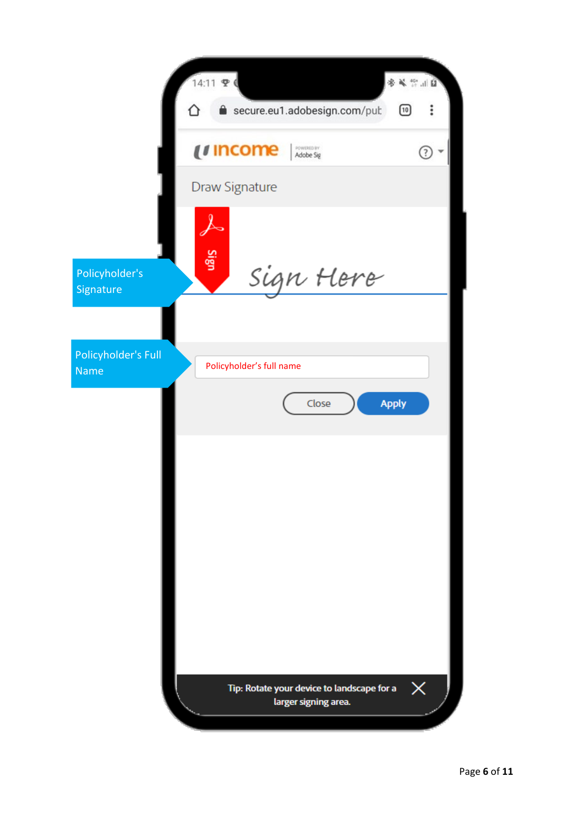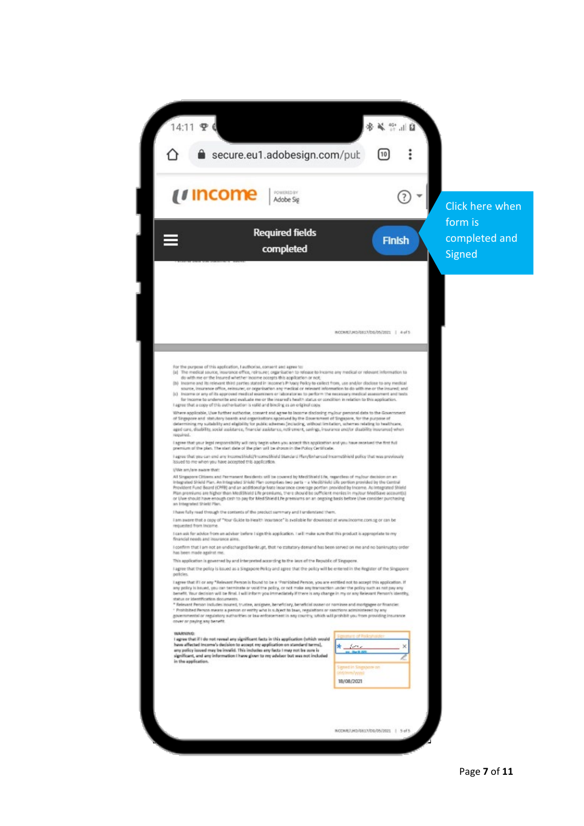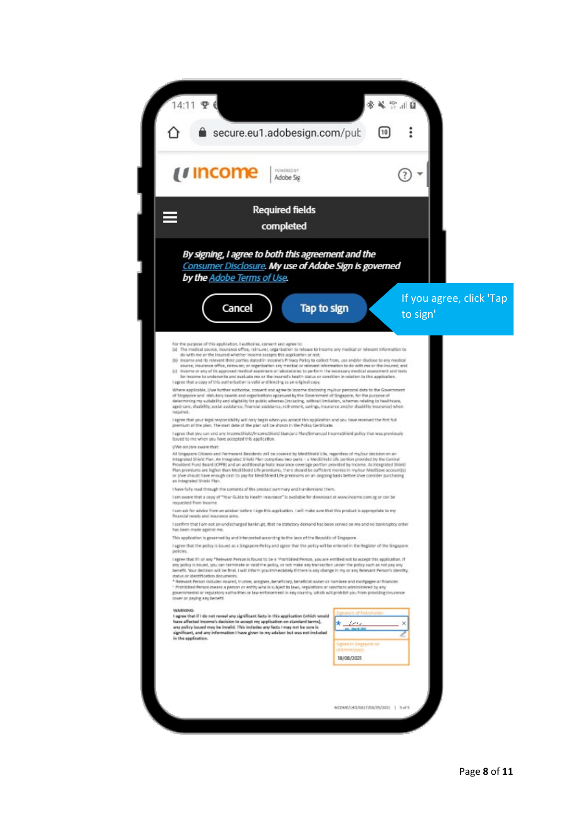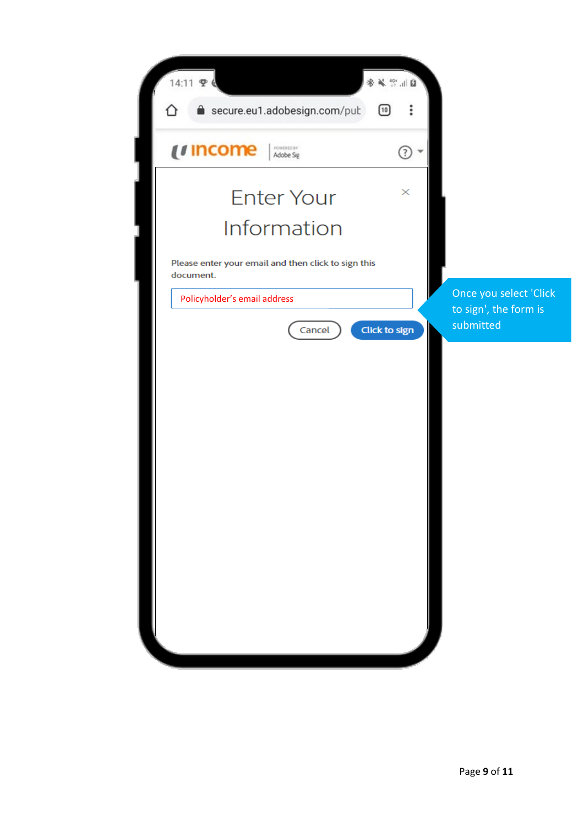| 14:11 里                                                                                          | <b>第五章</b>                                                 |
|--------------------------------------------------------------------------------------------------|------------------------------------------------------------|
| secure.eu1.adobesign.com/put                                                                     | ፡<br>[10]                                                  |
| <i>u</i> income<br>FOWERED BY                                                                    | $\odot$                                                    |
| <b>Enter Your</b><br>Information                                                                 | $\times$                                                   |
| Please enter your email and then click to sign this<br>document.<br>Policyholder's email address | Once you select 'Click                                     |
| Cancel                                                                                           | to sign', the form is<br>submitted<br><b>Click to sign</b> |
|                                                                                                  |                                                            |
|                                                                                                  |                                                            |
|                                                                                                  |                                                            |
|                                                                                                  |                                                            |
|                                                                                                  |                                                            |
|                                                                                                  |                                                            |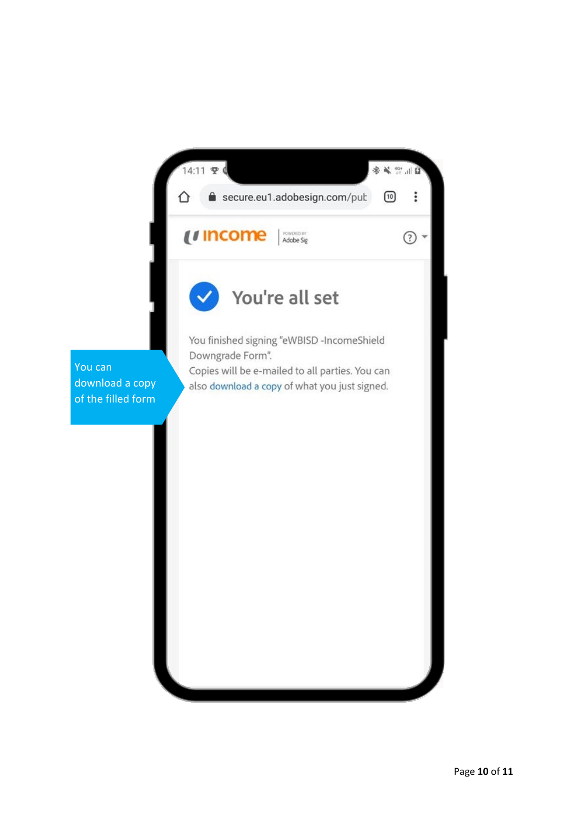